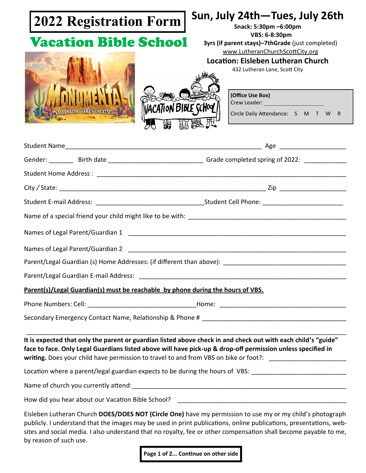| <b>2022 Registration Form</b>                                                                                                                                                                                                                                                                                                                                                 | Sun, July 24th-Tues, July 26th<br>Snack: 5:30pm -6:00pm                                                                                                                                                                                                                       |
|-------------------------------------------------------------------------------------------------------------------------------------------------------------------------------------------------------------------------------------------------------------------------------------------------------------------------------------------------------------------------------|-------------------------------------------------------------------------------------------------------------------------------------------------------------------------------------------------------------------------------------------------------------------------------|
| <b>Vacation Bible School</b><br>VACATION BIBLE SCHOOL<br>CELEBRATING GOD'S GREATINESS                                                                                                                                                                                                                                                                                         | VBS: 6-8:30pm<br>3yrs (if parent stays)-7thGrade (just completed)<br>www.LutheranChurchScottCity.org<br>Location: Eisleben Lutheran Church<br>432 Lutheran Lane, Scott City<br>(Office Use Box)<br>Crew Leader: _______________________<br>Circle Daily Attendance: S M T W R |
|                                                                                                                                                                                                                                                                                                                                                                               |                                                                                                                                                                                                                                                                               |
| Gender: _________ Birth date __________________________________ Grade completed spring of 2022: ______________                                                                                                                                                                                                                                                                |                                                                                                                                                                                                                                                                               |
|                                                                                                                                                                                                                                                                                                                                                                               |                                                                                                                                                                                                                                                                               |
|                                                                                                                                                                                                                                                                                                                                                                               |                                                                                                                                                                                                                                                                               |
|                                                                                                                                                                                                                                                                                                                                                                               |                                                                                                                                                                                                                                                                               |
|                                                                                                                                                                                                                                                                                                                                                                               |                                                                                                                                                                                                                                                                               |
|                                                                                                                                                                                                                                                                                                                                                                               |                                                                                                                                                                                                                                                                               |
|                                                                                                                                                                                                                                                                                                                                                                               |                                                                                                                                                                                                                                                                               |
|                                                                                                                                                                                                                                                                                                                                                                               |                                                                                                                                                                                                                                                                               |
| Parent/Legal Guardian E-mail Address:                                                                                                                                                                                                                                                                                                                                         |                                                                                                                                                                                                                                                                               |
| Parent(s)/Legal Guardian(s) must be reachable by phone during the hours of VBS.                                                                                                                                                                                                                                                                                               |                                                                                                                                                                                                                                                                               |
|                                                                                                                                                                                                                                                                                                                                                                               |                                                                                                                                                                                                                                                                               |
|                                                                                                                                                                                                                                                                                                                                                                               |                                                                                                                                                                                                                                                                               |
| It is expected that only the parent or guardian listed above check in and check out with each child's "guide"<br>face to face. Only Legal Guardians listed above will have pick-up & drop-off permission unless specified in<br>writing. Does your child have permission to travel to and from VBS on bike or foot?: _____________________                                    |                                                                                                                                                                                                                                                                               |
| Location where a parent/legal guardian expects to be during the hours of VBS: ________________________________                                                                                                                                                                                                                                                                |                                                                                                                                                                                                                                                                               |
|                                                                                                                                                                                                                                                                                                                                                                               |                                                                                                                                                                                                                                                                               |
|                                                                                                                                                                                                                                                                                                                                                                               |                                                                                                                                                                                                                                                                               |
| Eisleben Lutheran Church DOES/DOES NOT (Circle One) have my permission to use my or my child's photograph<br>publicly. I understand that the images may be used in print publications, online publications, presentations, web-<br>sites and social media. I also understand that no royalty, fee or other compensation shall become payable to me,<br>by reason of such use. |                                                                                                                                                                                                                                                                               |

**Page 1 of 2... Continue on other side**